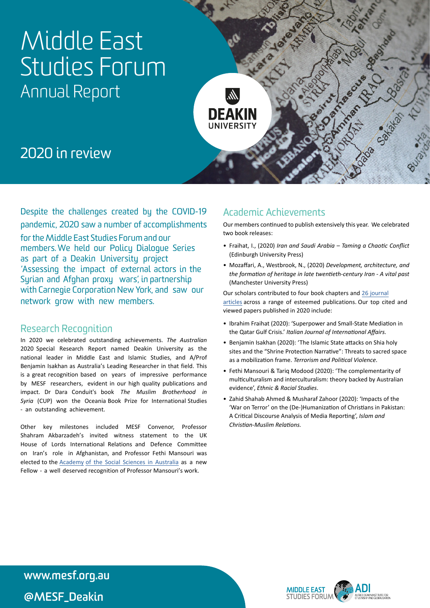# Middle East Studies Forum Annual Report



## 2020 in review

Despite the challenges created by the COVID-19 pandemic, 2020 saw a number of accomplishments for the Middle East Studies Forum and our members. We held our Policy Dialogue Series as part of a Deakin University project 'Assessing the impact of external actors in the Syrian and Afghan proxy wars', in partnership with Carnegie Corporation New York, and saw our network grow with new members.

#### Research Recognition

In 2020 we celebrated outstanding achievements. *The Australian*  2020 Special Research Report named Deakin University as the national leader in Middle East and Islamic Studies, and A/Prof Benjamin Isakhan as Australia's Leading Researcher in that field. This is a great recognition based on years of impressive performance by MESF researchers, evident in our high quality publications and impact. Dr Dara Conduit's book *The Muslim Brotherhood in Syria* (CUP) won the Oceania Book Prize for International Studies - an outstanding achievement.

Other key milestones included MESF Convenor, Professor Shahram Akbarzadeh's invited witness statement to the UK House of Lords International Relations and Defence Committee on Iran's role in Afghanistan, and Professor Fethi Mansouri was elected to the [Academy](https://socialsciences.org.au/news/newfellows/) [of the Social Sciences in Australia](https://socialsciences.org.au/news/newfellows/) as a new Fellow - a well deserved recognition of Professor Mansouri's work.

### Academic Achievements

Our members continued to publish extensively this year. We celebrated two book releases:

- Fraihat, I., (2020) *Iran and Saudi Arabia Taming a Chaotic Conflict* (Edinburgh University Press)
- Mozaffari, A., Westbrook, N., (2020) *Development, architecture, and the formation of heritage in late twentieth-century Iran - A vital past* (Manchester University Press)

[Our scholars contributed to four book chapters and 26 journal](http://www.mesf.org.au/academic-publications-since-2014/) articles across a range of esteemed publications. Our top cited and viewed papers published in 2020 include:

- Fethi Mansouri & Tariq Modood (2020): 'The complementarity of multiculturalism and interculturalism: Theory backed by Australian evidence' *Ethnic and Racial Studies.*
- Benjamin Isakhan (2020): 'The Islamic State attacks on Shia holy sites and the "Shrine Protection Narrative": Threats to sacred space as a mobilization frame. *Terrorism and Political Violence*.
- Fethi Mansouri & Tariq Modood (2020): 'The complementarity of multiculturalism and interculturalism: theory backed by Australian evidence', *Ethnic & Racial Studies*.
- Zahid Shahab Ahmed & Musharaf Zahoor (2020): 'Impacts of the 'War on Terror' on the (De-)Humanization of Christians in Pakistan: A Critical Discourse Analysis of Media Reporting', *Islam and Christian-Muslim Relations.*

Deakin University CRICOS Provider Code: 00113B **@MESF\_Deakinwww.mesf.org.au** 

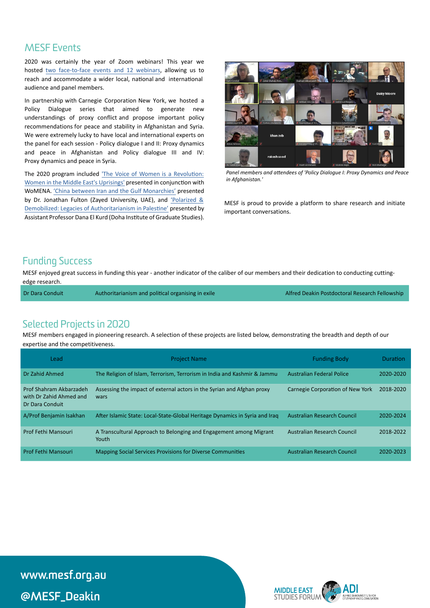#### MESF Events

2020 was certainly the year of Zoom webinars! This year we hosted [two face-to-face events and 12 webinars](http://www.mesf.org.au/events/), allowing us to reach and accommodate a wider local, national and international audience and panel members.

In partnership with Carnegie Corporation New York, we hosted a Policy Dialogue series that aimed to generate new understandings of proxy conflict and propose important policy recommendations for peace and stability in Afghanistan and Syria. We were extremely lucky to have local and international experts on the panel for each session - Policy dialogue I and II: Proxy dynamics and peace in Afghanistan and Policy dialogue III and IV: Proxy dynamics and peace in Syria.

The 2020 program included 'The Voice of Women is [a Revolution:](http://www.mesf.org.au/the-voice-of-women-is-a-revolution-women-in-the-middle-easts-uprisings/) [Women in the Middle East's Uprisings'](http://www.mesf.org.au/the-voice-of-women-is-a-revolution-women-in-the-middle-easts-uprisings/) presented in conjunction with WoMENA. ['China between Iran and the Gulf Monarchies'](http://www.mesf.org.au/china-between-iran-and-the-gulf-monarchies/) presented by Dr. Jonathan Fulton (Zayed University, UAE), and ['Polarized](http://www.mesf.org.au/polarized-demobilized-legacies-of-authoritarianism-in-palestine/) & [Demobilized: Legacies of Authoritarianism in Palestine'](http://www.mesf.org.au/polarized-demobilized-legacies-of-authoritarianism-in-palestine/) presented by Assistant Professor Dana El Kurd (Doha Institute of Graduate Studies).



*Panel members and attendees of 'Policy Dialogue I: Proxy Dynamics and Peace in Afghanistan.'* 

MESF is proud to provide a platform to share research and initiate important conversations.

#### Funding Success

MESF enjoyed great success in funding this year - another indicator of the caliber of our members and their dedication to conducting cuttingedge research.

| Dr Dara Conduit | Authoritarianism and political organising in exile | Alfred Deakin Postdoctoral Research Fellowship |
|-----------------|----------------------------------------------------|------------------------------------------------|
|                 |                                                    |                                                |

#### Selected Projects in 2020

MESF members engaged in pioneering research. A selection of these projects are listed below, demonstrating the breadth and depth of our expertise and the competitiveness.

| Lead                                                                  | <b>Project Name</b>                                                            | <b>Funding Body</b>                | <b>Duration</b> |
|-----------------------------------------------------------------------|--------------------------------------------------------------------------------|------------------------------------|-----------------|
| Dr Zahid Ahmed                                                        | The Religion of Islam, Terrorism, Terrorism in India and Kashmir & Jammu       | <b>Australian Federal Police</b>   | 2020-2020       |
| Prof Shahram Akbarzadeh<br>with Dr Zahid Ahmed and<br>Dr Dara Conduit | Assessing the impact of external actors in the Syrian and Afghan proxy<br>wars | Carnegie Corporation of New York   | 2018-2020       |
| A/Prof Benjamin Isakhan                                               | After Islamic State: Local-State-Global Heritage Dynamics in Syria and Iraq    | <b>Australian Research Council</b> | 2020-2024       |
| Prof Fethi Mansouri                                                   | A Transcultural Approach to Belonging and Engagement among Migrant<br>Youth    | Australian Research Council        | 2018-2022       |
| <b>Prof Fethi Mansouri</b>                                            | <b>Mapping Social Services Provisions for Diverse Communities</b>              | Australian Research Council        | 2020-2023       |

**[deakin.edu.au/learning-centres](http://deakin.edu.au/learning-centres) www.mesf.org.au**  @MESF\_Deakin